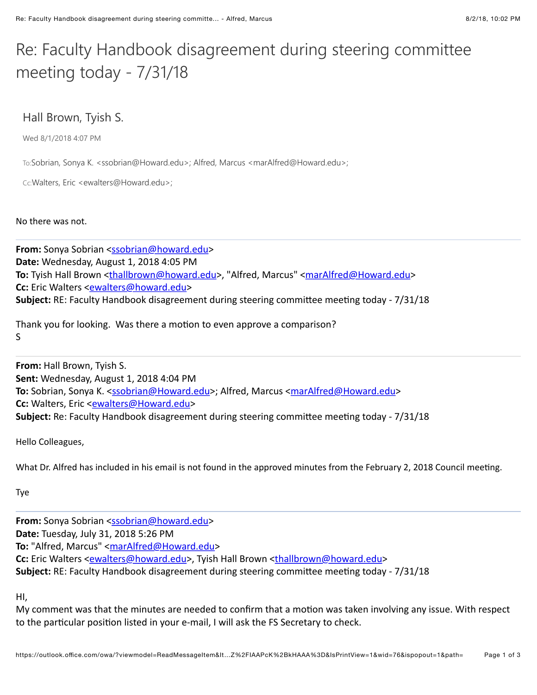## Re: Faculty Handbook disagreement during steering committee meeting today -  $7/31/18$

## Hall Brown, Tyish S.

Wed 8/1/2018 4:07 PM

To:Sobrian, Sonya K. <ssobrian@Howard.edu>; Alfred, Marcus <marAlfred@Howard.edu>;

Cc:Walters, Eric <ewalters@Howard.edu>;

No there was not.

**From:** Sonya Sobrian [<ssobrian@howard.edu>](mailto:ssobrian@howard.edu) **Date:** Wednesday, August 1, 2018 4:05 PM To: Tyish Hall Brown [<thallbrown@howard.edu>](mailto:thallbrown@howard.edu), "Alfred, Marcus" [<marAlfred@Howard.edu](mailto:marAlfred@Howard.edu)> **Cc:** Eric Walters <**[ewalters@howard.edu>](mailto:ewalters@howard.edu) Subject:** RE: Faculty Handbook disagreement during steering committee meeting today - 7/31/18

Thank you for looking. Was there a motion to even approve a comparison? S

**From:** Hall Brown, Tyish S. **Sent:** Wednesday, August 1, 2018 4:04 PM **To:** Sobrian, Sonya K. <[ssobrian@Howard.edu](mailto:ssobrian@Howard.edu)>; Alfred, Marcus [<marAlfred@Howard.edu](mailto:marAlfred@Howard.edu)> **Cc:** Walters, Eric <**[ewalters@Howard.edu>](mailto:ewalters@Howard.edu) Subject:** Re: Faculty Handbook disagreement during steering committee meeting today - 7/31/18

Hello Colleagues,

What Dr. Alfred has included in his email is not found in the approved minutes from the February 2, 2018 Council meeting.

Tye

From: Sonya Sobrian [<ssobrian@howard.edu>](mailto:ssobrian@howard.edu) **Date:** Tuesday, July 31, 2018 5:26 PM To: "Alfred, Marcus" [<marAlfred@Howard.edu>](mailto:marAlfred@Howard.edu) **Cc:** Eric Walters <**[ewalters@howard.edu>](mailto:ewalters@howard.edu)**, Tyish Hall Brown [<thallbrown@howard.edu>](mailto:thallbrown@howard.edu) **Subject:** RE: Faculty Handbook disagreement during steering committee meeting today - 7/31/18

HI,

My comment was that the minutes are needed to confirm that a motion was taken involving any issue. With respect to the particular position listed in your e-mail, I will ask the FS Secretary to check.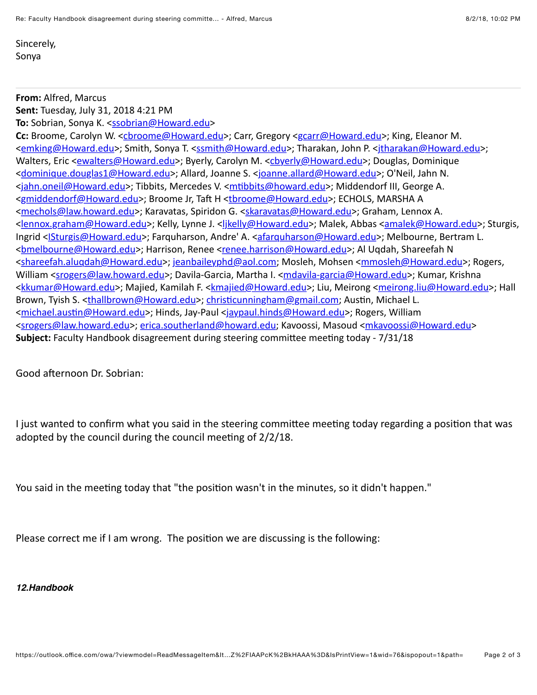Sincerely, Sonya

## **From: Alfred, Marcus**

**Sent:** Tuesday, July 31, 2018 4:21 PM **To:** Sobrian, Sonya K. <[ssobrian@Howard.edu](mailto:ssobrian@Howard.edu)>

Cc: Broome, Carolyn W. <[cbroome@Howard.edu>](mailto:cbroome@Howard.edu); Carr, Gregory <[gcarr@Howard.edu](mailto:gcarr@Howard.edu)>; King, Eleanor M. <[emking@Howard.edu](mailto:emking@Howard.edu)>; Smith, Sonya T. [<ssmith@Howard.edu>](mailto:ssmith@Howard.edu); Tharakan, John P. <itharakan@Howard.edu>; Walters, Eric <[ewalters@Howard.edu>](mailto:ewalters@Howard.edu); Byerly, Carolyn M. <[cbyerly@Howard.edu>](mailto:cbyerly@Howard.edu); Douglas, Dominique <[dominique.douglas1@Howard.edu](mailto:dominique.douglas1@Howard.edu)>; Allard, Joanne S. <[joanne.allard@Howard.edu](mailto:joanne.allard@Howard.edu)>; O'Neil, Jahn N. <[jahn.oneil@Howard.edu>](mailto:jahn.oneil@Howard.edu); Tibbits, Mercedes V. <mtibbits@howard.edu>; Middendorf III, George A. <[gmiddendorf@Howard.edu>](mailto:gmiddendorf@Howard.edu); Broome Jr, Taft H <[tbroome@Howard.edu>](mailto:tbroome@Howard.edu); ECHOLS, MARSHA A <[mechols@law.howard.edu](mailto:mechols@law.howard.edu)>; Karavatas, Spiridon G. <[skaravatas@Howard.edu>](mailto:skaravatas@Howard.edu); Graham, Lennox A. <[lennox.graham@Howard.edu](mailto:lennox.graham@Howard.edu)>; Kelly, Lynne J. <[ljkelly@Howard.edu>](mailto:ljkelly@Howard.edu); Malek, Abbas [<amalek@Howard.edu](mailto:amalek@Howard.edu)>; Sturgis, Ingrid <[ISturgis@Howard.edu](mailto:ISturgis@Howard.edu)>; Farquharson, Andre' A. <[afarquharson@Howard.edu](mailto:afarquharson@Howard.edu)>; Melbourne, Bertram L. <br elbourne@Howard.edu>; Harrison, Renee [<renee.harrison@Howard.edu](mailto:renee.harrison@Howard.edu)>; Al Uqdah, Shareefah N <[shareefah.aluqdah@Howard.edu](mailto:shareefah.aluqdah@Howard.edu)>; jeanbaileyphd@aol.com; Mosleh, Mohsen <[mmosleh@Howard.edu>](mailto:mmosleh@Howard.edu); Rogers, William <[srogers@law.howard.edu>](mailto:srogers@law.howard.edu); Davila-Garcia, Martha I. <mdavila-garcia@Howard.edu>; Kumar, Krishna <[kkumar@Howard.edu](mailto:kkumar@Howard.edu)>; Majied, Kamilah F. [<kmajied@Howard.edu>](mailto:kmajied@Howard.edu); Liu, Meirong [<meirong.liu@Howard.edu](mailto:meirong.liu@Howard.edu)>; Hall Brown, Tyish S. <[thallbrown@Howard.edu](mailto:thallbrown@Howard.edu)>; christicunningham@gmail.com; Austin, Michael L. <michael.austin@Howard.edu>; Hinds, Jay-Paul [<jaypaul.hinds@Howard.edu](mailto:jaypaul.hinds@Howard.edu)>; Rogers, William <[srogers@law.howard.edu>](mailto:srogers@law.howard.edu); [erica.southerland@howard.edu;](mailto:erica.southerland@howard.edu) Kavoossi, Masoud [<mkavoossi@Howard.edu>](mailto:mkavoossi@Howard.edu) **Subject:** Faculty Handbook disagreement during steering committee meeting today - 7/31/18

Good afternoon Dr. Sobrian:

I just wanted to confirm what you said in the steering committee meeting today regarding a position that was adopted by the council during the council meeting of  $2/2/18$ .

You said in the meeting today that "the position wasn't in the minutes, so it didn't happen."

Please correct me if I am wrong. The position we are discussing is the following:

## *12.Handbook*